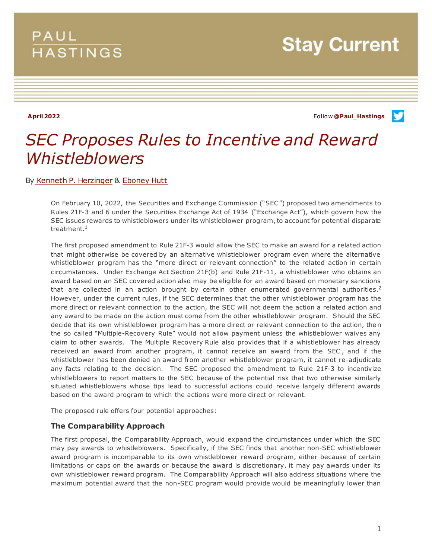## **PAUL HASTINGS**

**Stay Current** 

**April 2022** Follow **[@Paul\\_Hastings](http://twitter.com/Paul_Hastings)**

v

# *SEC Proposes Rules to Incentive and Reward Whistleblowers*

By [Kenneth P. Herzinger](https://www.paulhastings.com/en-GB/professionals/kennethherzinger) & [Eboney Hutt](https://www.paulhastings.com/professionals/eboneyhutt)

On February 10, 2022, the Securities and Exchange Commission ("SEC") proposed two amendments to Rules 21F-3 and 6 under the Securities Exchange Act of 1934 ("Exchange Act"), which govern how the SEC issues rewards to whistleblowers under its whistleblower program, to account for potential disparate treatment. $^1$ 

The first proposed amendment to Rule 21F-3 would allow the SEC to make an award for a related action that might otherwise be covered by an alternative whistleblower program even where the alternative whistleblower program has the "more direct or relevant connection" to the related action in certain circumstances. Under Exchange Act Section 21F(b) and Rule 21F-11, a whistleblower who obtains an award based on an SEC covered action also may be eligible for an award based on monetary sanctions that are collected in an action brought by certain other enumerated governmental authorities.<sup>2</sup> However, under the current rules, if the SEC determines that the other whistleblower program has the more direct or relevant connection to the action, the SEC will not deem the action a related action and any award to be made on the action must come from the other whistleblower program. Should the SEC decide that its own whistleblower program has a more direct or relevant connection to the action, the n the so called "Multiple-Recovery Rule" would not allow payment unless the whistleblower waives any claim to other awards. The Multiple Recovery Rule also provides that if a whistleblower has already received an award from another program, it cannot receive an award from the SEC , and if the whistleblower has been denied an award from another whistleblower program, it cannot re-adjudicate any facts relating to the decision. The SEC proposed the amendment to Rule 21F-3 to incentivize whistleblowers to report matters to the SEC because of the potential risk that two otherwise similarly situated whistleblowers whose tips lead to successful actions could receive largely different awards based on the award program to which the actions were more direct or relevant.

The proposed rule offers four potential approaches:

#### **The Comparability Approach**

The first proposal, the Comparability Approach, would expand the circumstances under which the SEC may pay awards to whistleblowers. Specifically, if the SEC finds that another non-SEC whistleblower award program is incomparable to its own whistleblower reward program, either because of certain limitations or caps on the awards or because the award is discretionary, it may pay awards under its own whistleblower reward program. The Comparability Approach will also address situations where the maximum potential award that the non-SEC program would provide would be meaningfully lower than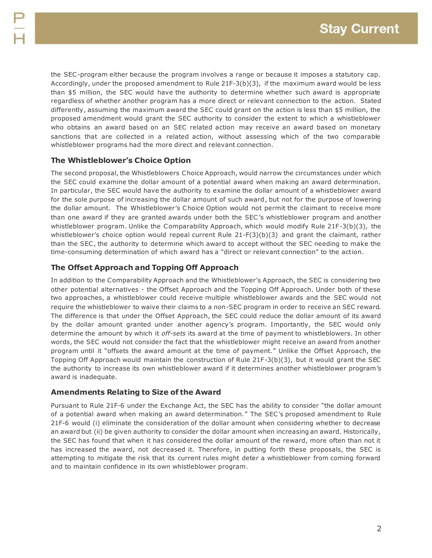the SEC-program either because the program involves a range or because it imposes a statutory cap. Accordingly, under the proposed amendment to Rule 21F-3(b)(3), if the maximum award would be less than \$5 million, the SEC would have the authority to determine whether such award is appropriate regardless of whether another program has a more direct or relevant connection to the action. Stated differently, assuming the maximum award the SEC could grant on the action is less than \$5 million, the proposed amendment would grant the SEC authority to consider the extent to which a whistleblower who obtains an award based on an SEC related action may receive an award based on monetary sanctions that are collected in a related action, without assessing which of the two comparable whistleblower programs had the more direct and relevant connection.

### **The Whistleblower's Choice Option**

The second proposal, the Whistleblowers Choice Approach, would narrow the circumstances under which the SEC could examine the dollar amount of a potential award when making an award determination. In particular, the SEC would have the authority to examine the dollar amount of a whistleblower award for the sole purpose of increasing the dollar amount of such award, but not for the purpose of lowering the dollar amount. The Whistleblower's Choice Option would not permit the claimant to receive more than one award if they are granted awards under both the SEC 's whistleblower program and another whistleblower program. Unlike the Comparability Approach, which would modify Rule 21F-3(b)(3), the whistleblower's choice option would repeal current Rule 21-F(3)(b)(3) and grant the claimant, rather than the SEC , the authority to determine which award to accept without the SEC needing to make the time-consuming determination of which award has a "direct or relevant connection" to the action.

### **The Offset Approach and Topping Off Approach**

In addition to the Comparability Approach and the Whistleblower's Approach, the SEC is considering two other potential alternatives - the Offset Approach and the Topping Off Approach. Under both of these two approaches, a whistleblower could receive multiple whistleblower awards and the SEC would not require the whistleblower to waive their claims to a non-SEC program in order to receive an SEC reward. The difference is that under the Offset Approach, the SEC could reduce the dollar amount of its award by the dollar amount granted under another agency's program. Importantly, the SEC would only determine the amount by which it *off-sets* its award at the time of payment to whistleblowers. In other words, the SEC would not consider the fact that the whistleblower might receive an award from another program until it "offsets the award amount at the time of payment." Unlike the Offset Approach, the Topping Off Approach would maintain the construction of Rule 21F-3(b)(3), but it would grant the SEC the authority to increase its own whistleblower award if it determines another whistleblower program's award is inadequate.

#### **Amendments Relating to Size of the Award**

Pursuant to Rule 21F-6 under the Exchange Act, the SEC has the ability to consider "the dollar amount of a potential award when making an award determination." The SEC's proposed amendment to Rule 21F-6 would (i) eliminate the consideration of the dollar amount when considering whether to decrease an award but (ii) be given authority to consider the dollar amount when increasing an award. Historically, the SEC has found that when it has considered the dollar amount of the reward, more often than not it has increased the award, not decreased it. Therefore, in putting forth these proposals, the SEC is attempting to mitigate the risk that its current rules might deter a whistleblower from coming forward and to maintain confidence in its own whistleblower program.